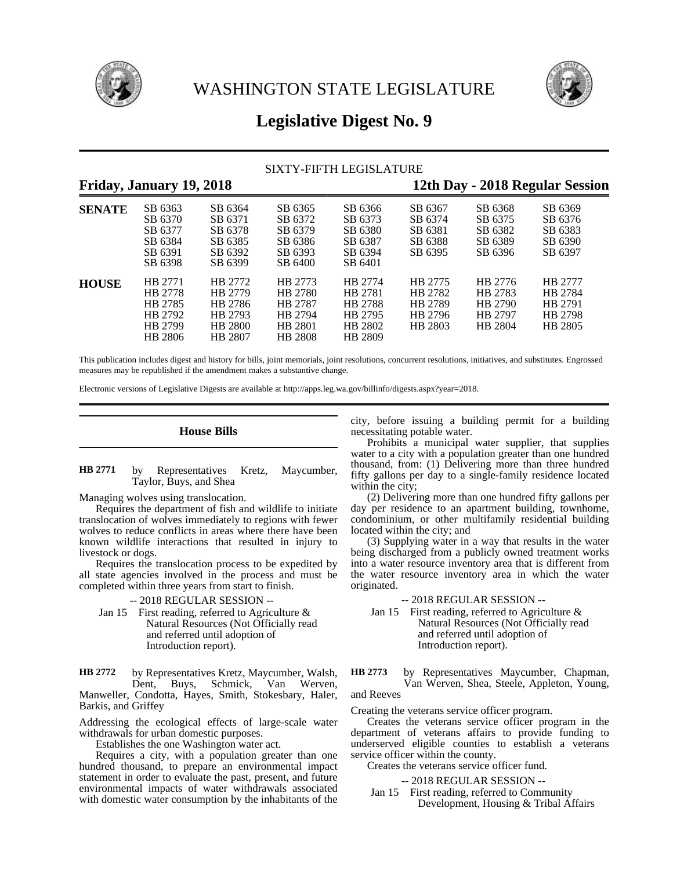



## **Legislative Digest No. 9**

### SIXTY-FIFTH LEGISLATURE

# **Friday, January 19, 2018 12th Day - 2018 Regular Session**

| <b>SENATE</b> | SB 6363<br>SB 6370<br>SB 6377<br>SB 6384<br>SB 6391<br>SB 6398 | SB 6364<br>SB 6371<br>SB 6378<br>SB 6385<br>SB 6392<br>SB 6399 | SB 6365<br>SB 6372<br>SB 6379<br>SB 6386<br>SB 6393<br>SB 6400 | SB 6366<br>SB 6373<br>SB 6380<br>SB 6387<br>SB 6394<br>SB 6401 | SB 6367<br>SB 6374<br>SB 6381<br>SB 6388<br>SB 6395 | SB 6368<br>SB 6375<br>SB 6382<br>SB 6389<br>SB 6396 | SB 6369<br>SB 6376<br>SB 6383<br>SB 6390<br>SB 6397 |
|---------------|----------------------------------------------------------------|----------------------------------------------------------------|----------------------------------------------------------------|----------------------------------------------------------------|-----------------------------------------------------|-----------------------------------------------------|-----------------------------------------------------|
| <b>HOUSE</b>  | HB 2771<br>HB 2778<br>HB 2785<br>HB 2792<br>HB 2799<br>HB 2806 | HB 2772<br>HB 2779<br>HB 2786<br>HB 2793<br>HB 2800<br>HB 2807 | HB 2773<br>HB 2780<br>HB 2787<br>HB 2794<br>HB 2801<br>HB 2808 | HB 2774<br>HB 2781<br>HB 2788<br>HB 2795<br>HB 2802<br>HB 2809 | HB 2775<br>HB 2782<br>HB 2789<br>HB 2796<br>HB 2803 | HB 2776<br>HB 2783<br>HB 2790<br>HB 2797<br>HB 2804 | HB 2777<br>HB 2784<br>HB 2791<br>HB 2798<br>HB 2805 |

This publication includes digest and history for bills, joint memorials, joint resolutions, concurrent resolutions, initiatives, and substitutes. Engrossed measures may be republished if the amendment makes a substantive change.

Electronic versions of Legislative Digests are available at http://apps.leg.wa.gov/billinfo/digests.aspx?year=2018.

### **House Bills**

### by Representatives Kretz, Maycumber, Taylor, Buys, and Shea **HB 2771**

Managing wolves using translocation.

Requires the department of fish and wildlife to initiate translocation of wolves immediately to regions with fewer wolves to reduce conflicts in areas where there have been known wildlife interactions that resulted in injury to livestock or dogs.

Requires the translocation process to be expedited by all state agencies involved in the process and must be completed within three years from start to finish.

### -- 2018 REGULAR SESSION --

Jan 15 First reading, referred to Agriculture  $\&$ Natural Resources (Not Officially read and referred until adoption of Introduction report).

by Representatives Kretz, Maycumber, Walsh, Dent, Buys, Schmick, Van Werven, Manweller, Condotta, Hayes, Smith, Stokesbary, Haler, Barkis, and Griffey **HB 2772**

Addressing the ecological effects of large-scale water withdrawals for urban domestic purposes.

Establishes the one Washington water act.

Requires a city, with a population greater than one hundred thousand, to prepare an environmental impact statement in order to evaluate the past, present, and future environmental impacts of water withdrawals associated with domestic water consumption by the inhabitants of the

city, before issuing a building permit for a building necessitating potable water.

Prohibits a municipal water supplier, that supplies water to a city with a population greater than one hundred thousand, from: (1) Delivering more than three hundred fifty gallons per day to a single-family residence located within the city;

(2) Delivering more than one hundred fifty gallons per day per residence to an apartment building, townhome, condominium, or other multifamily residential building located within the city; and

(3) Supplying water in a way that results in the water being discharged from a publicly owned treatment works into a water resource inventory area that is different from the water resource inventory area in which the water originated.

-- 2018 REGULAR SESSION --

Jan 15 First reading, referred to Agriculture  $\&$ Natural Resources (Not Officially read and referred until adoption of Introduction report).

by Representatives Maycumber, Chapman, Van Werven, Shea, Steele, Appleton, Young, and Reeves **HB 2773**

Creating the veterans service officer program.

Creates the veterans service officer program in the department of veterans affairs to provide funding to underserved eligible counties to establish a veterans service officer within the county.

Creates the veterans service officer fund.

-- 2018 REGULAR SESSION --

Jan 15 First reading, referred to Community Development, Housing & Tribal Affairs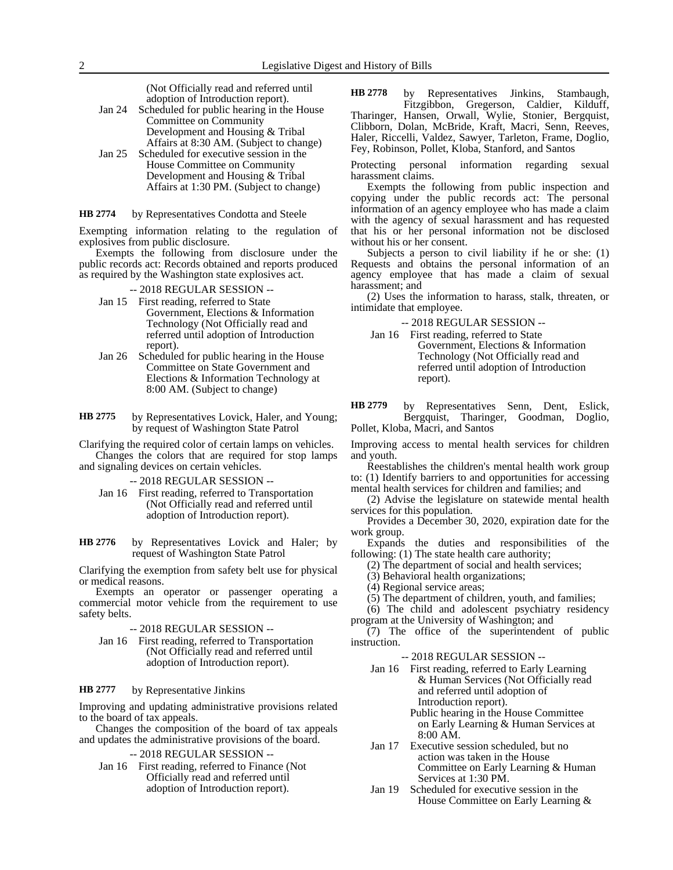(Not Officially read and referred until adoption of Introduction report).

- Jan 24 Scheduled for public hearing in the House Committee on Community Development and Housing & Tribal Affairs at 8:30 AM. (Subject to change)
- Jan 25 Scheduled for executive session in the House Committee on Community Development and Housing & Tribal Affairs at 1:30 PM. (Subject to change)

by Representatives Condotta and Steele **HB 2774**

Exempting information relating to the regulation of explosives from public disclosure.

Exempts the following from disclosure under the public records act: Records obtained and reports produced as required by the Washington state explosives act.

### -- 2018 REGULAR SESSION --

- Jan 15 First reading, referred to State Government, Elections & Information Technology (Not Officially read and referred until adoption of Introduction report).
- Jan 26 Scheduled for public hearing in the House Committee on State Government and Elections & Information Technology at 8:00 AM. (Subject to change)
- by Representatives Lovick, Haler, and Young; by request of Washington State Patrol **HB 2775**

Clarifying the required color of certain lamps on vehicles. Changes the colors that are required for stop lamps and signaling devices on certain vehicles.

- -- 2018 REGULAR SESSION --
- Jan 16 First reading, referred to Transportation (Not Officially read and referred until adoption of Introduction report).

by Representatives Lovick and Haler; by request of Washington State Patrol **HB 2776**

Clarifying the exemption from safety belt use for physical or medical reasons.

Exempts an operator or passenger operating a commercial motor vehicle from the requirement to use safety belts.

- -- 2018 REGULAR SESSION --
- Jan 16 First reading, referred to Transportation (Not Officially read and referred until adoption of Introduction report).

#### by Representative Jinkins **HB 2777**

Improving and updating administrative provisions related to the board of tax appeals.

Changes the composition of the board of tax appeals and updates the administrative provisions of the board.

-- 2018 REGULAR SESSION --

Jan 16 First reading, referred to Finance (Not Officially read and referred until adoption of Introduction report).

by Representatives Jinkins, Stambaugh, Fitzgibbon, Gregerson, Caldier, Kilduff, Tharinger, Hansen, Orwall, Wylie, Stonier, Bergquist, Clibborn, Dolan, McBride, Kraft, Macri, Senn, Reeves, Haler, Riccelli, Valdez, Sawyer, Tarleton, Frame, Doglio, Fey, Robinson, Pollet, Kloba, Stanford, and Santos **HB 2778**

Protecting personal information regarding sexual harassment claims.

Exempts the following from public inspection and copying under the public records act: The personal information of an agency employee who has made a claim with the agency of sexual harassment and has requested that his or her personal information not be disclosed without his or her consent.

Subjects a person to civil liability if he or she: (1) Requests and obtains the personal information of an agency employee that has made a claim of sexual harassment; and

(2) Uses the information to harass, stalk, threaten, or intimidate that employee.

-- 2018 REGULAR SESSION --

Jan 16 First reading, referred to State Government, Elections & Information Technology (Not Officially read and referred until adoption of Introduction report).

by Representatives Senn, Dent, Eslick, Bergquist, Tharinger, Goodman, Doglio, **HB 2779**

Pollet, Kloba, Macri, and Santos

Improving access to mental health services for children and youth.

Reestablishes the children's mental health work group to: (1) Identify barriers to and opportunities for accessing mental health services for children and families; and

(2) Advise the legislature on statewide mental health services for this population.

Provides a December 30, 2020, expiration date for the work group.

Expands the duties and responsibilities of the following: (1) The state health care authority;

(2) The department of social and health services;

(3) Behavioral health organizations;

(4) Regional service areas;

(5) The department of children, youth, and families;

(6) The child and adolescent psychiatry residency program at the University of Washington; and

 $(7)$  The office of the superintendent of public instruction.

-- 2018 REGULAR SESSION --

Jan 16 First reading, referred to Early Learning & Human Services (Not Officially read and referred until adoption of Introduction report).

Public hearing in the House Committee on Early Learning & Human Services at 8:00 AM.

- Jan 17 Executive session scheduled, but no action was taken in the House Committee on Early Learning & Human Services at 1:30 PM.
- Jan 19 Scheduled for executive session in the House Committee on Early Learning &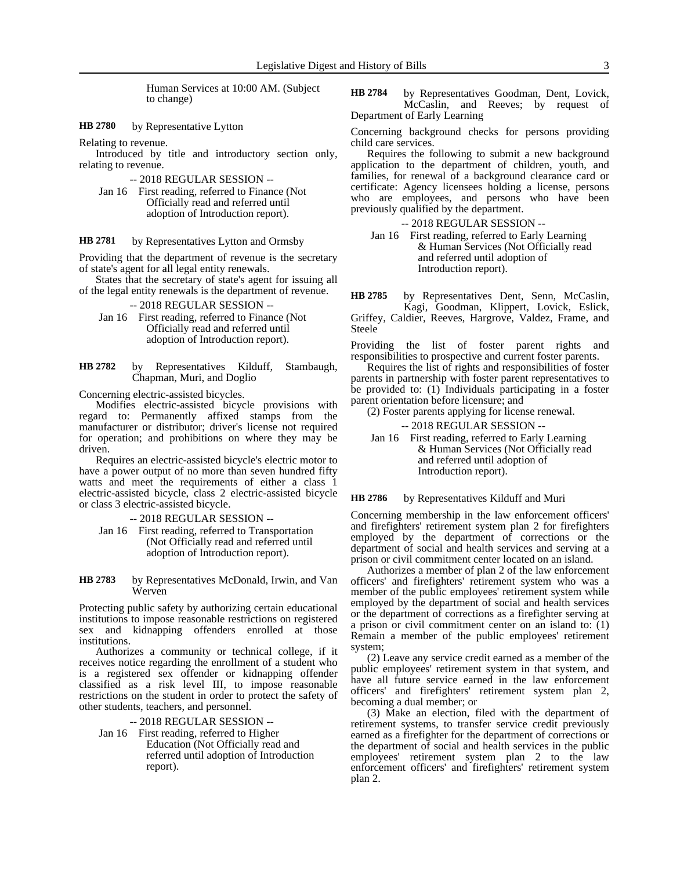Human Services at 10:00 AM. (Subject to change)

by Representative Lytton **HB 2780**

Relating to revenue.

Introduced by title and introductory section only, relating to revenue.

-- 2018 REGULAR SESSION --

Jan 16 First reading, referred to Finance (Not Officially read and referred until adoption of Introduction report).

#### by Representatives Lytton and Ormsby **HB 2781**

Providing that the department of revenue is the secretary of state's agent for all legal entity renewals.

States that the secretary of state's agent for issuing all of the legal entity renewals is the department of revenue.

-- 2018 REGULAR SESSION --

Jan 16 First reading, referred to Finance (Not Officially read and referred until adoption of Introduction report).

by Representatives Kilduff, Stambaugh, Chapman, Muri, and Doglio **HB 2782**

Concerning electric-assisted bicycles.

Modifies electric-assisted bicycle provisions with regard to: Permanently affixed stamps from the manufacturer or distributor; driver's license not required for operation; and prohibitions on where they may be driven.

Requires an electric-assisted bicycle's electric motor to have a power output of no more than seven hundred fifty watts and meet the requirements of either a class 1 electric-assisted bicycle, class 2 electric-assisted bicycle or class 3 electric-assisted bicycle.

-- 2018 REGULAR SESSION --

Jan 16 First reading, referred to Transportation (Not Officially read and referred until adoption of Introduction report).

by Representatives McDonald, Irwin, and Van Werven **HB 2783**

Protecting public safety by authorizing certain educational institutions to impose reasonable restrictions on registered sex and kidnapping offenders enrolled at those institutions.

Authorizes a community or technical college, if it receives notice regarding the enrollment of a student who is a registered sex offender or kidnapping offender classified as a risk level III, to impose reasonable restrictions on the student in order to protect the safety of other students, teachers, and personnel.

-- 2018 REGULAR SESSION --

Jan 16 First reading, referred to Higher Education (Not Officially read and referred until adoption of Introduction report).

by Representatives Goodman, Dent, Lovick, McCaslin, and Reeves; by request of Department of Early Learning **HB 2784**

Concerning background checks for persons providing child care services.

Requires the following to submit a new background application to the department of children, youth, and families, for renewal of a background clearance card or certificate: Agency licensees holding a license, persons who are employees, and persons who have been previously qualified by the department.

-- 2018 REGULAR SESSION --

Jan 16 First reading, referred to Early Learning & Human Services (Not Officially read and referred until adoption of Introduction report).

by Representatives Dent, Senn, McCaslin, Kagi, Goodman, Klippert, Lovick, Eslick, **HB 2785**

Griffey, Caldier, Reeves, Hargrove, Valdez, Frame, and Steele

Providing the list of foster parent rights and responsibilities to prospective and current foster parents.

Requires the list of rights and responsibilities of foster parents in partnership with foster parent representatives to be provided to: (1) Individuals participating in a foster parent orientation before licensure; and

(2) Foster parents applying for license renewal.

-- 2018 REGULAR SESSION --

Jan 16 First reading, referred to Early Learning & Human Services (Not Officially read and referred until adoption of Introduction report).

by Representatives Kilduff and Muri **HB 2786**

Concerning membership in the law enforcement officers' and firefighters' retirement system plan 2 for firefighters employed by the department of corrections or the department of social and health services and serving at a prison or civil commitment center located on an island.

Authorizes a member of plan 2 of the law enforcement officers' and firefighters' retirement system who was a member of the public employees' retirement system while employed by the department of social and health services or the department of corrections as a firefighter serving at a prison or civil commitment center on an island to: (1) Remain a member of the public employees' retirement system;

(2) Leave any service credit earned as a member of the public employees' retirement system in that system, and have all future service earned in the law enforcement officers' and firefighters' retirement system plan 2, becoming a dual member; or

(3) Make an election, filed with the department of retirement systems, to transfer service credit previously earned as a firefighter for the department of corrections or the department of social and health services in the public employees' retirement system plan 2 to the law enforcement officers' and firefighters' retirement system plan 2.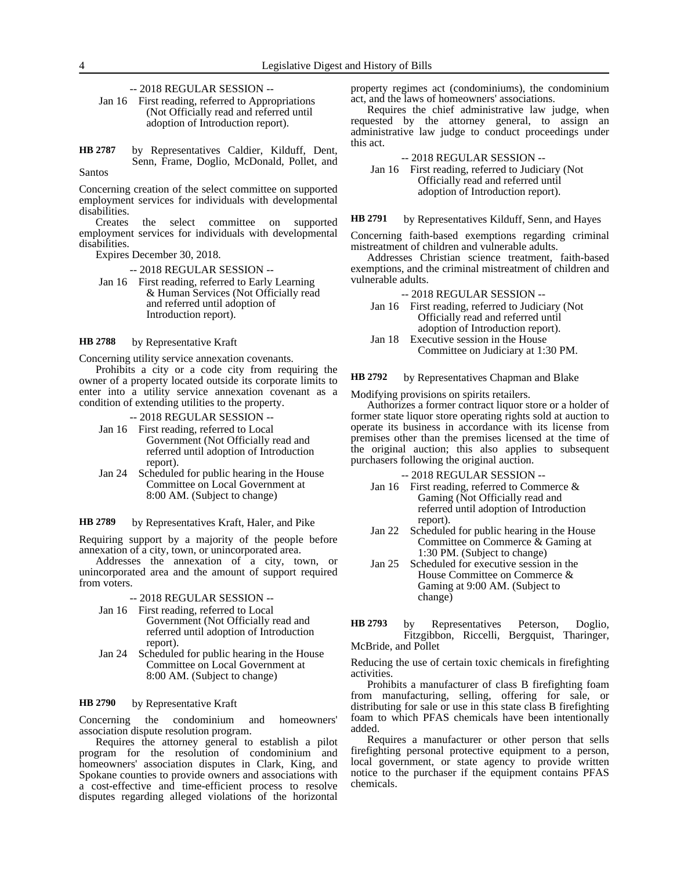-- 2018 REGULAR SESSION --

Jan 16 First reading, referred to Appropriations (Not Officially read and referred until adoption of Introduction report).

by Representatives Caldier, Kilduff, Dent, Senn, Frame, Doglio, McDonald, Pollet, and Santos **HB 2787**

Concerning creation of the select committee on supported employment services for individuals with developmental disabilities.

Creates the select committee on supported employment services for individuals with developmental disabilities.

Expires December 30, 2018.

-- 2018 REGULAR SESSION --

Jan 16 First reading, referred to Early Learning & Human Services (Not Officially read and referred until adoption of Introduction report).

by Representative Kraft **HB 2788**

Concerning utility service annexation covenants.

Prohibits a city or a code city from requiring the owner of a property located outside its corporate limits to enter into a utility service annexation covenant as a condition of extending utilities to the property.

-- 2018 REGULAR SESSION --

- Jan 16 First reading, referred to Local Government (Not Officially read and referred until adoption of Introduction report).
- Jan 24 Scheduled for public hearing in the House Committee on Local Government at 8:00 AM. (Subject to change)

by Representatives Kraft, Haler, and Pike **HB 2789**

Requiring support by a majority of the people before annexation of a city, town, or unincorporated area.

Addresses the annexation of a city, town, or unincorporated area and the amount of support required from voters.

-- 2018 REGULAR SESSION --

- Jan 16 First reading, referred to Local Government (Not Officially read and referred until adoption of Introduction report).
- Jan 24 Scheduled for public hearing in the House Committee on Local Government at 8:00 AM. (Subject to change)

#### by Representative Kraft **HB 2790**

Concerning the condominium and homeowners' association dispute resolution program.

Requires the attorney general to establish a pilot program for the resolution of condominium and homeowners' association disputes in Clark, King, and Spokane counties to provide owners and associations with a cost-effective and time-efficient process to resolve disputes regarding alleged violations of the horizontal

property regimes act (condominiums), the condominium act, and the laws of homeowners' associations.

Requires the chief administrative law judge, when requested by the attorney general, to assign an administrative law judge to conduct proceedings under this act.

-- 2018 REGULAR SESSION --

Jan 16 First reading, referred to Judiciary (Not Officially read and referred until adoption of Introduction report).

by Representatives Kilduff, Senn, and Hayes **HB 2791**

Concerning faith-based exemptions regarding criminal mistreatment of children and vulnerable adults.

Addresses Christian science treatment, faith-based exemptions, and the criminal mistreatment of children and vulnerable adults.

-- 2018 REGULAR SESSION --

- Jan 16 First reading, referred to Judiciary (Not Officially read and referred until adoption of Introduction report).
- Jan 18 Executive session in the House Committee on Judiciary at 1:30 PM.

by Representatives Chapman and Blake **HB 2792**

Modifying provisions on spirits retailers.

Authorizes a former contract liquor store or a holder of former state liquor store operating rights sold at auction to operate its business in accordance with its license from premises other than the premises licensed at the time of the original auction; this also applies to subsequent purchasers following the original auction.

-- 2018 REGULAR SESSION --

- Jan 16 First reading, referred to Commerce & Gaming (Not Officially read and referred until adoption of Introduction report).
- Jan 22 Scheduled for public hearing in the House Committee on Commerce & Gaming at 1:30 PM. (Subject to change)
- Jan 25 Scheduled for executive session in the House Committee on Commerce & Gaming at 9:00 AM. (Subject to change)

by Representatives Peterson, Doglio, Fitzgibbon, Riccelli, Bergquist, Tharinger, McBride, and Pollet **HB 2793**

Reducing the use of certain toxic chemicals in firefighting activities.

Prohibits a manufacturer of class B firefighting foam from manufacturing, selling, offering for sale, or distributing for sale or use in this state class B firefighting foam to which PFAS chemicals have been intentionally added.

Requires a manufacturer or other person that sells firefighting personal protective equipment to a person, local government, or state agency to provide written notice to the purchaser if the equipment contains PFAS chemicals.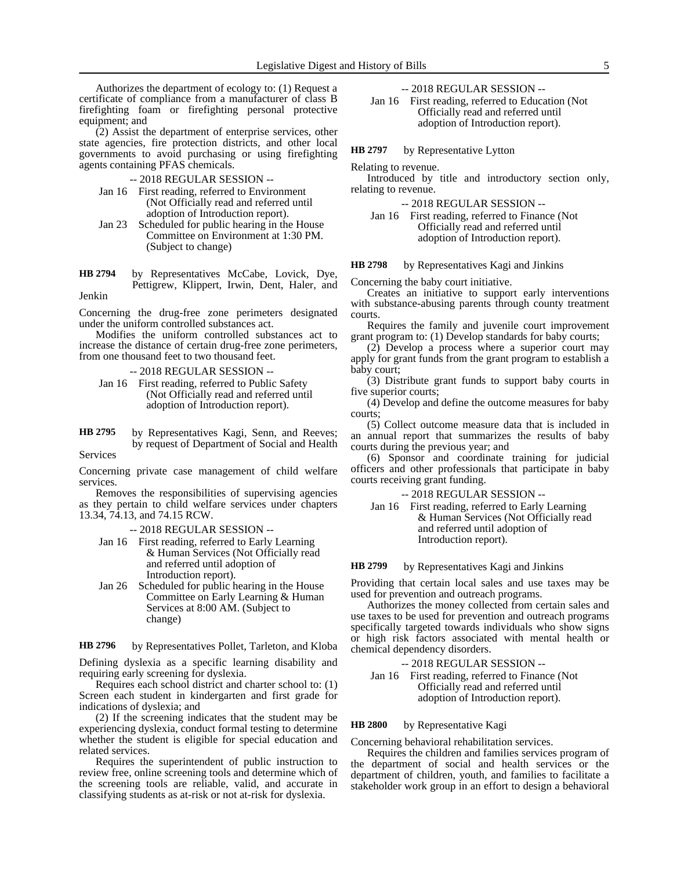Authorizes the department of ecology to: (1) Request a certificate of compliance from a manufacturer of class B firefighting foam or firefighting personal protective equipment; and

(2) Assist the department of enterprise services, other state agencies, fire protection districts, and other local governments to avoid purchasing or using firefighting agents containing PFAS chemicals.

-- 2018 REGULAR SESSION --

- Jan 16 First reading, referred to Environment (Not Officially read and referred until adoption of Introduction report).
- Jan 23 Scheduled for public hearing in the House Committee on Environment at 1:30 PM. (Subject to change)
- by Representatives McCabe, Lovick, Dye, Pettigrew, Klippert, Irwin, Dent, Haler, and Jenkin **HB 2794**

Concerning the drug-free zone perimeters designated under the uniform controlled substances act.

Modifies the uniform controlled substances act to increase the distance of certain drug-free zone perimeters, from one thousand feet to two thousand feet.

- -- 2018 REGULAR SESSION --
- Jan 16 First reading, referred to Public Safety (Not Officially read and referred until adoption of Introduction report).
- by Representatives Kagi, Senn, and Reeves; by request of Department of Social and Health **HB 2795**

Services

Concerning private case management of child welfare services.

Removes the responsibilities of supervising agencies as they pertain to child welfare services under chapters 13.34, 74.13, and 74.15 RCW.

-- 2018 REGULAR SESSION --

- Jan 16 First reading, referred to Early Learning & Human Services (Not Officially read and referred until adoption of Introduction report).
- Jan 26 Scheduled for public hearing in the House Committee on Early Learning & Human Services at 8:00 AM. (Subject to change)

by Representatives Pollet, Tarleton, and Kloba **HB 2796**

Defining dyslexia as a specific learning disability and requiring early screening for dyslexia.

Requires each school district and charter school to: (1) Screen each student in kindergarten and first grade for indications of dyslexia; and

(2) If the screening indicates that the student may be experiencing dyslexia, conduct formal testing to determine whether the student is eligible for special education and related services.

Requires the superintendent of public instruction to review free, online screening tools and determine which of the screening tools are reliable, valid, and accurate in classifying students as at-risk or not at-risk for dyslexia.

-- 2018 REGULAR SESSION --

Jan 16 First reading, referred to Education (Not Officially read and referred until adoption of Introduction report).

by Representative Lytton **HB 2797**

Relating to revenue.

Introduced by title and introductory section only, relating to revenue.

-- 2018 REGULAR SESSION --

Jan 16 First reading, referred to Finance (Not Officially read and referred until adoption of Introduction report).

#### by Representatives Kagi and Jinkins **HB 2798**

Concerning the baby court initiative.

Creates an initiative to support early interventions with substance-abusing parents through county treatment courts.

Requires the family and juvenile court improvement grant program to: (1) Develop standards for baby courts;

(2) Develop a process where a superior court may apply for grant funds from the grant program to establish a baby court;

(3) Distribute grant funds to support baby courts in five superior courts;

(4) Develop and define the outcome measures for baby courts;

(5) Collect outcome measure data that is included in an annual report that summarizes the results of baby courts during the previous year; and

(6) Sponsor and coordinate training for judicial officers and other professionals that participate in baby courts receiving grant funding.

-- 2018 REGULAR SESSION --

Jan 16 First reading, referred to Early Learning & Human Services (Not Officially read and referred until adoption of Introduction report).

#### by Representatives Kagi and Jinkins **HB 2799**

Providing that certain local sales and use taxes may be used for prevention and outreach programs.

Authorizes the money collected from certain sales and use taxes to be used for prevention and outreach programs specifically targeted towards individuals who show signs or high risk factors associated with mental health or chemical dependency disorders.

| -- 2018 REGULAR SESSION --                     |
|------------------------------------------------|
| Jan 16 First reading, referred to Finance (Not |
| Officially read and referred until             |
| adoption of Introduction report).              |

#### by Representative Kagi **HB 2800**

Concerning behavioral rehabilitation services.

Requires the children and families services program of the department of social and health services or the department of children, youth, and families to facilitate a stakeholder work group in an effort to design a behavioral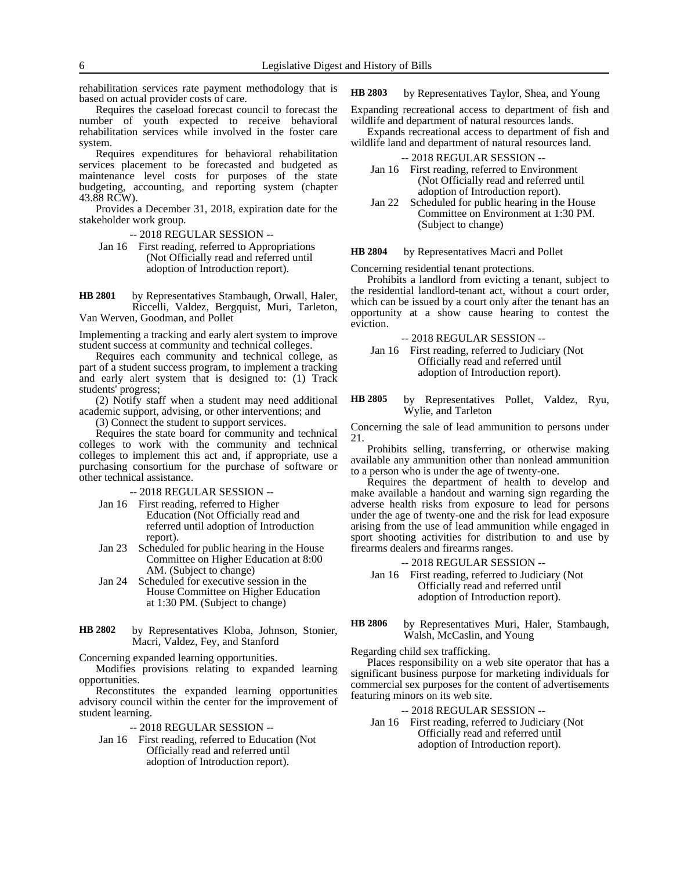rehabilitation services rate payment methodology that is based on actual provider costs of care.

Requires the caseload forecast council to forecast the number of youth expected to receive behavioral rehabilitation services while involved in the foster care system.

Requires expenditures for behavioral rehabilitation services placement to be forecasted and budgeted as maintenance level costs for purposes of the state budgeting, accounting, and reporting system (chapter 43.88 RCW).

Provides a December 31, 2018, expiration date for the stakeholder work group.

- -- 2018 REGULAR SESSION --
- Jan 16 First reading, referred to Appropriations (Not Officially read and referred until adoption of Introduction report).

by Representatives Stambaugh, Orwall, Haler, Riccelli, Valdez, Bergquist, Muri, Tarleton, Van Werven, Goodman, and Pollet **HB 2801**

Implementing a tracking and early alert system to improve student success at community and technical colleges.

Requires each community and technical college, as part of a student success program, to implement a tracking and early alert system that is designed to: (1) Track students' progress;

(2) Notify staff when a student may need additional academic support, advising, or other interventions; and

(3) Connect the student to support services.

Requires the state board for community and technical colleges to work with the community and technical colleges to implement this act and, if appropriate, use a purchasing consortium for the purchase of software or other technical assistance.

-- 2018 REGULAR SESSION --

- Jan 16 First reading, referred to Higher Education (Not Officially read and referred until adoption of Introduction report).
- Jan 23 Scheduled for public hearing in the House Committee on Higher Education at 8:00 AM. (Subject to change)
- Jan 24 Scheduled for executive session in the House Committee on Higher Education at 1:30 PM. (Subject to change)
- by Representatives Kloba, Johnson, Stonier, Macri, Valdez, Fey, and Stanford **HB 2802**

Concerning expanded learning opportunities.

Modifies provisions relating to expanded learning opportunities.

Reconstitutes the expanded learning opportunities advisory council within the center for the improvement of student learning.

-- 2018 REGULAR SESSION --

Jan 16 First reading, referred to Education (Not Officially read and referred until adoption of Introduction report).

by Representatives Taylor, Shea, and Young **HB 2803**

Expanding recreational access to department of fish and wildlife and department of natural resources lands.

Expands recreational access to department of fish and wildlife land and department of natural resources land.

- -- 2018 REGULAR SESSION --
- Jan 16 First reading, referred to Environment (Not Officially read and referred until adoption of Introduction report).
- Jan 22 Scheduled for public hearing in the House Committee on Environment at 1:30 PM. (Subject to change)

by Representatives Macri and Pollet **HB 2804**

Concerning residential tenant protections.

Prohibits a landlord from evicting a tenant, subject to the residential landlord-tenant act, without a court order, which can be issued by a court only after the tenant has an opportunity at a show cause hearing to contest the eviction.

- -- 2018 REGULAR SESSION --
- Jan 16 First reading, referred to Judiciary (Not Officially read and referred until adoption of Introduction report).

### by Representatives Pollet, Valdez, Ryu, Wylie, and Tarleton **HB 2805**

Concerning the sale of lead ammunition to persons under 21.

Prohibits selling, transferring, or otherwise making available any ammunition other than nonlead ammunition to a person who is under the age of twenty-one.

Requires the department of health to develop and make available a handout and warning sign regarding the adverse health risks from exposure to lead for persons under the age of twenty-one and the risk for lead exposure arising from the use of lead ammunition while engaged in sport shooting activities for distribution to and use by firearms dealers and firearms ranges.

-- 2018 REGULAR SESSION --

- Jan 16 First reading, referred to Judiciary (Not Officially read and referred until adoption of Introduction report).
- by Representatives Muri, Haler, Stambaugh, Walsh, McCaslin, and Young **HB 2806**

Regarding child sex trafficking.

Places responsibility on a web site operator that has a significant business purpose for marketing individuals for commercial sex purposes for the content of advertisements featuring minors on its web site.

-- 2018 REGULAR SESSION --

Jan 16 First reading, referred to Judiciary (Not Officially read and referred until adoption of Introduction report).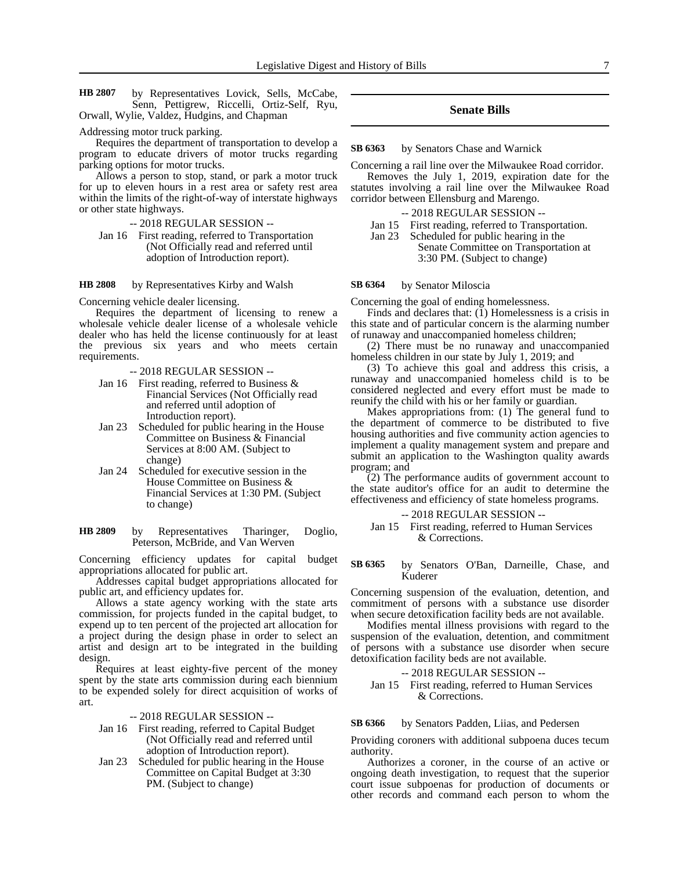by Representatives Lovick, Sells, McCabe, Senn, Pettigrew, Riccelli, Ortiz-Self, Ryu, Orwall, Wylie, Valdez, Hudgins, and Chapman **HB 2807**

### Addressing motor truck parking.

Requires the department of transportation to develop a program to educate drivers of motor trucks regarding parking options for motor trucks.

Allows a person to stop, stand, or park a motor truck for up to eleven hours in a rest area or safety rest area within the limits of the right-of-way of interstate highways or other state highways.

-- 2018 REGULAR SESSION --

Jan 16 First reading, referred to Transportation (Not Officially read and referred until adoption of Introduction report).

by Representatives Kirby and Walsh **HB 2808**

Concerning vehicle dealer licensing.

Requires the department of licensing to renew a wholesale vehicle dealer license of a wholesale vehicle dealer who has held the license continuously for at least the previous six years and who meets certain requirements.

-- 2018 REGULAR SESSION --

- Jan 16 First reading, referred to Business & Financial Services (Not Officially read and referred until adoption of Introduction report).
- Jan 23 Scheduled for public hearing in the House Committee on Business & Financial Services at 8:00 AM. (Subject to change)
- Jan 24 Scheduled for executive session in the House Committee on Business & Financial Services at 1:30 PM. (Subject to change)

by Representatives Tharinger, Doglio, Peterson, McBride, and Van Werven **HB 2809**

Concerning efficiency updates for capital budget appropriations allocated for public art.

Addresses capital budget appropriations allocated for public art, and efficiency updates for.

Allows a state agency working with the state arts commission, for projects funded in the capital budget, to expend up to ten percent of the projected art allocation for a project during the design phase in order to select an artist and design art to be integrated in the building design.

Requires at least eighty-five percent of the money spent by the state arts commission during each biennium to be expended solely for direct acquisition of works of art.

-- 2018 REGULAR SESSION --

- Jan 16 First reading, referred to Capital Budget (Not Officially read and referred until adoption of Introduction report).
- Jan 23 Scheduled for public hearing in the House Committee on Capital Budget at 3:30 PM. (Subject to change)

### **Senate Bills**

by Senators Chase and Warnick **SB 6363**

Concerning a rail line over the Milwaukee Road corridor. Removes the July 1, 2019, expiration date for the statutes involving a rail line over the Milwaukee Road corridor between Ellensburg and Marengo.

- -- 2018 REGULAR SESSION --
- Jan 15 First reading, referred to Transportation.
- Jan 23 Scheduled for public hearing in the Senate Committee on Transportation at 3:30 PM. (Subject to change)

by Senator Miloscia **SB 6364**

Concerning the goal of ending homelessness.

Finds and declares that:  $(1)$  Homelessness is a crisis in this state and of particular concern is the alarming number of runaway and unaccompanied homeless children;

(2) There must be no runaway and unaccompanied homeless children in our state by July 1, 2019; and

(3) To achieve this goal and address this crisis, a runaway and unaccompanied homeless child is to be considered neglected and every effort must be made to reunify the child with his or her family or guardian.

Makes appropriations from: (1) The general fund to the department of commerce to be distributed to five housing authorities and five community action agencies to implement a quality management system and prepare and submit an application to the Washington quality awards program; and

(2) The performance audits of government account to the state auditor's office for an audit to determine the effectiveness and efficiency of state homeless programs.

- -- 2018 REGULAR SESSION --
- Jan 15 First reading, referred to Human Services & Corrections.

by Senators O'Ban, Darneille, Chase, and Kuderer **SB 6365**

Concerning suspension of the evaluation, detention, and commitment of persons with a substance use disorder when secure detoxification facility beds are not available.

Modifies mental illness provisions with regard to the suspension of the evaluation, detention, and commitment of persons with a substance use disorder when secure detoxification facility beds are not available.

### -- 2018 REGULAR SESSION --

### Jan 15 First reading, referred to Human Services & Corrections.

#### by Senators Padden, Liias, and Pedersen **SB 6366**

Providing coroners with additional subpoena duces tecum authority.

Authorizes a coroner, in the course of an active or ongoing death investigation, to request that the superior court issue subpoenas for production of documents or other records and command each person to whom the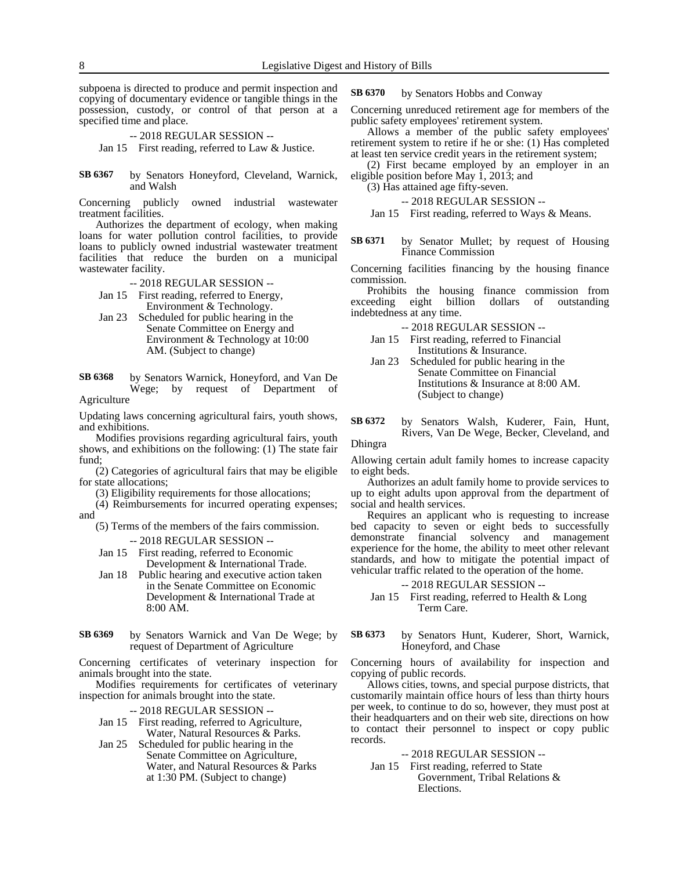subpoena is directed to produce and permit inspection and copying of documentary evidence or tangible things in the possession, custody, or control of that person at a specified time and place.

-- 2018 REGULAR SESSION --

Jan 15 First reading, referred to Law & Justice.

by Senators Honeyford, Cleveland, Warnick, and Walsh **SB 6367**

Concerning publicly owned industrial wastewater treatment facilities.

Authorizes the department of ecology, when making loans for water pollution control facilities, to provide loans to publicly owned industrial wastewater treatment facilities that reduce the burden on a municipal wastewater facility.

-- 2018 REGULAR SESSION --

Jan 15 First reading, referred to Energy, Environment & Technology.

- Jan 23 Scheduled for public hearing in the Senate Committee on Energy and Environment & Technology at 10:00 AM. (Subject to change)
- by Senators Warnick, Honeyford, and Van De Wege; by request of Department of **SB 6368**

Agriculture

Updating laws concerning agricultural fairs, youth shows, and exhibitions.

Modifies provisions regarding agricultural fairs, youth shows, and exhibitions on the following: (1) The state fair fund;

(2) Categories of agricultural fairs that may be eligible for state allocations;

(3) Eligibility requirements for those allocations;

(4) Reimbursements for incurred operating expenses;

and

(5) Terms of the members of the fairs commission.

-- 2018 REGULAR SESSION --

Jan 15 First reading, referred to Economic Development & International Trade.

- Jan 18 Public hearing and executive action taken in the Senate Committee on Economic Development & International Trade at 8:00 AM.
- by Senators Warnick and Van De Wege; by request of Department of Agriculture **SB 6369**

Concerning certificates of veterinary inspection for animals brought into the state.

Modifies requirements for certificates of veterinary inspection for animals brought into the state.

-- 2018 REGULAR SESSION --

- Jan 15 First reading, referred to Agriculture, Water, Natural Resources & Parks.
- Jan 25 Scheduled for public hearing in the Senate Committee on Agriculture, Water, and Natural Resources & Parks at 1:30 PM. (Subject to change)

by Senators Hobbs and Conway **SB 6370**

Concerning unreduced retirement age for members of the public safety employees' retirement system.

Allows a member of the public safety employees' retirement system to retire if he or she: (1) Has completed at least ten service credit years in the retirement system;

(2) First became employed by an employer in an eligible position before May 1, 2013; and

(3) Has attained age fifty-seven.

-- 2018 REGULAR SESSION --

Jan 15 First reading, referred to Ways & Means.

by Senator Mullet; by request of Housing Finance Commission **SB 6371**

Concerning facilities financing by the housing finance commission.

Prohibits the housing finance commission from<br>eeding eight billion dollars of outstanding exceeding eight billion dollars of outstanding indebtedness at any time.

-- 2018 REGULAR SESSION --

- Jan 15 First reading, referred to Financial Institutions & Insurance.
- Jan 23 Scheduled for public hearing in the Senate Committee on Financial Institutions & Insurance at 8:00 AM. (Subject to change)
- by Senators Walsh, Kuderer, Fain, Hunt, Rivers, Van De Wege, Becker, Cleveland, and **SB 6372**

Dhingra

Allowing certain adult family homes to increase capacity to eight beds.

Authorizes an adult family home to provide services to up to eight adults upon approval from the department of social and health services.

Requires an applicant who is requesting to increase bed capacity to seven or eight beds to successfully demonstrate financial solvency and management demonstrate financial solvency and management experience for the home, the ability to meet other relevant standards, and how to mitigate the potential impact of vehicular traffic related to the operation of the home.

-- 2018 REGULAR SESSION --

- Jan 15 First reading, referred to Health & Long Term Care.
- by Senators Hunt, Kuderer, Short, Warnick, Honeyford, and Chase **SB 6373**

Concerning hours of availability for inspection and copying of public records.

Allows cities, towns, and special purpose districts, that customarily maintain office hours of less than thirty hours per week, to continue to do so, however, they must post at their headquarters and on their web site, directions on how to contact their personnel to inspect or copy public records.

-- 2018 REGULAR SESSION --

Jan 15 First reading, referred to State Government, Tribal Relations & Elections.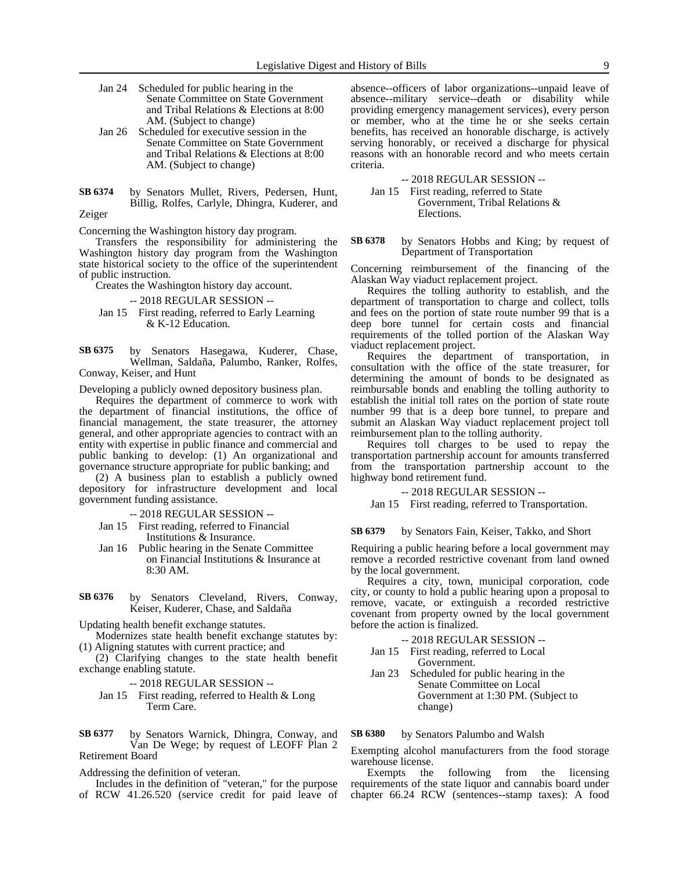- Jan 24 Scheduled for public hearing in the Senate Committee on State Government and Tribal Relations & Elections at 8:00 AM. (Subject to change)
- Jan 26 Scheduled for executive session in the Senate Committee on State Government and Tribal Relations & Elections at 8:00 AM. (Subject to change)
- by Senators Mullet, Rivers, Pedersen, Hunt, Billig, Rolfes, Carlyle, Dhingra, Kuderer, and Zeiger **SB 6374**

Concerning the Washington history day program.

Transfers the responsibility for administering the Washington history day program from the Washington state historical society to the office of the superintendent of public instruction.

Creates the Washington history day account.

### -- 2018 REGULAR SESSION --

Jan 15 First reading, referred to Early Learning & K-12 Education.

by Senators Hasegawa, Kuderer, Chase, Wellman, Saldaña, Palumbo, Ranker, Rolfes, Conway, Keiser, and Hunt **SB 6375**

Developing a publicly owned depository business plan.

Requires the department of commerce to work with the department of financial institutions, the office of financial management, the state treasurer, the attorney general, and other appropriate agencies to contract with an entity with expertise in public finance and commercial and public banking to develop: (1) An organizational and governance structure appropriate for public banking; and

(2) A business plan to establish a publicly owned depository for infrastructure development and local government funding assistance.

-- 2018 REGULAR SESSION --

- Jan 15 First reading, referred to Financial Institutions & Insurance.
- Jan 16 Public hearing in the Senate Committee on Financial Institutions & Insurance at 8:30 AM.
- by Senators Cleveland, Rivers, Conway, Keiser, Kuderer, Chase, and Saldaña **SB 6376**

Updating health benefit exchange statutes.

Modernizes state health benefit exchange statutes by: (1) Aligning statutes with current practice; and

(2) Clarifying changes to the state health benefit exchange enabling statute.

-- 2018 REGULAR SESSION --

Jan 15 First reading, referred to Health & Long Term Care.

by Senators Warnick, Dhingra, Conway, and Van De Wege; by request of LEOFF Plan 2 Retirement Board **SB 6377**

Addressing the definition of veteran.

Includes in the definition of "veteran," for the purpose of RCW 41.26.520 (service credit for paid leave of absence--officers of labor organizations--unpaid leave of absence--military service--death or disability while providing emergency management services), every person or member, who at the time he or she seeks certain benefits, has received an honorable discharge, is actively serving honorably, or received a discharge for physical reasons with an honorable record and who meets certain criteria.

-- 2018 REGULAR SESSION --

Jan 15 First reading, referred to State Government, Tribal Relations & Elections.

by Senators Hobbs and King; by request of Department of Transportation **SB 6378**

Concerning reimbursement of the financing of the Alaskan Way viaduct replacement project.

Requires the tolling authority to establish, and the department of transportation to charge and collect, tolls and fees on the portion of state route number 99 that is a deep bore tunnel for certain costs and financial requirements of the tolled portion of the Alaskan Way viaduct replacement project.

Requires the department of transportation, in consultation with the office of the state treasurer, for determining the amount of bonds to be designated as reimbursable bonds and enabling the tolling authority to establish the initial toll rates on the portion of state route number 99 that is a deep bore tunnel, to prepare and submit an Alaskan Way viaduct replacement project toll reimbursement plan to the tolling authority.

Requires toll charges to be used to repay the transportation partnership account for amounts transferred from the transportation partnership account to the highway bond retirement fund.

### -- 2018 REGULAR SESSION --

Jan 15 First reading, referred to Transportation.

by Senators Fain, Keiser, Takko, and Short **SB 6379**

Requiring a public hearing before a local government may remove a recorded restrictive covenant from land owned by the local government.

Requires a city, town, municipal corporation, code city, or county to hold a public hearing upon a proposal to remove, vacate, or extinguish a recorded restrictive covenant from property owned by the local government before the action is finalized.

-- 2018 REGULAR SESSION --

- Jan 15 First reading, referred to Local Government.
- Jan 23 Scheduled for public hearing in the Senate Committee on Local Government at 1:30 PM. (Subject to change)

#### by Senators Palumbo and Walsh **SB 6380**

Exempting alcohol manufacturers from the food storage warehouse license.

Exempts the following from the licensing requirements of the state liquor and cannabis board under chapter 66.24 RCW (sentences--stamp taxes): A food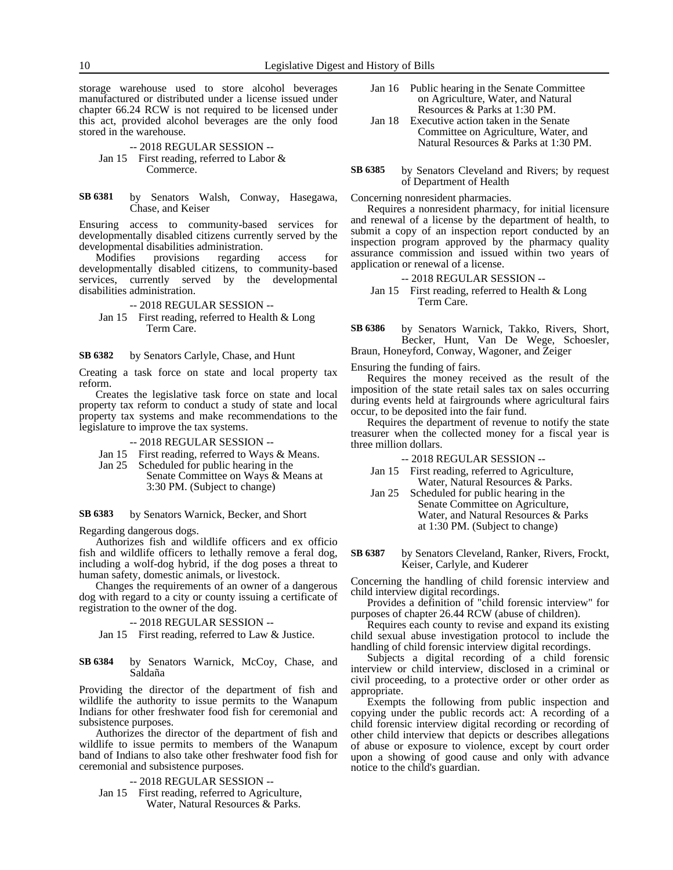storage warehouse used to store alcohol beverages manufactured or distributed under a license issued under chapter 66.24 RCW is not required to be licensed under this act, provided alcohol beverages are the only food stored in the warehouse.

### -- 2018 REGULAR SESSION -- Jan 15 First reading, referred to Labor & Commerce.

by Senators Walsh, Conway, Hasegawa, Chase, and Keiser **SB 6381**

Ensuring access to community-based services for developmentally disabled citizens currently served by the developmental disabilities administration.

Modifies provisions regarding access for developmentally disabled citizens, to community-based services, currently served by the developmental disabilities administration.

-- 2018 REGULAR SESSION --

Jan 15 First reading, referred to Health & Long Term Care.

by Senators Carlyle, Chase, and Hunt **SB 6382**

Creating a task force on state and local property tax reform.

Creates the legislative task force on state and local property tax reform to conduct a study of state and local property tax systems and make recommendations to the legislature to improve the tax systems.

- -- 2018 REGULAR SESSION --
- Jan 15 First reading, referred to Ways & Means.
- Jan 25 Scheduled for public hearing in the Senate Committee on Ways & Means at 3:30 PM. (Subject to change)

by Senators Warnick, Becker, and Short **SB 6383**

Regarding dangerous dogs.

Authorizes fish and wildlife officers and ex officio fish and wildlife officers to lethally remove a feral dog, including a wolf-dog hybrid, if the dog poses a threat to human safety, domestic animals, or livestock.

Changes the requirements of an owner of a dangerous dog with regard to a city or county issuing a certificate of registration to the owner of the dog.

-- 2018 REGULAR SESSION --

Jan 15 First reading, referred to Law & Justice.

by Senators Warnick, McCoy, Chase, and Saldaña **SB 6384**

Providing the director of the department of fish and wildlife the authority to issue permits to the Wanapum Indians for other freshwater food fish for ceremonial and subsistence purposes.

Authorizes the director of the department of fish and wildlife to issue permits to members of the Wanapum band of Indians to also take other freshwater food fish for ceremonial and subsistence purposes.

-- 2018 REGULAR SESSION --

Jan 15 First reading, referred to Agriculture, Water, Natural Resources & Parks.

- Jan 16 Public hearing in the Senate Committee on Agriculture, Water, and Natural Resources & Parks at 1:30 PM.
- Jan 18 Executive action taken in the Senate Committee on Agriculture, Water, and Natural Resources & Parks at 1:30 PM.

by Senators Cleveland and Rivers; by request of Department of Health **SB 6385**

Concerning nonresident pharmacies.

Requires a nonresident pharmacy, for initial licensure and renewal of a license by the department of health, to submit a copy of an inspection report conducted by an inspection program approved by the pharmacy quality assurance commission and issued within two years of application or renewal of a license.

-- 2018 REGULAR SESSION --

Jan 15 First reading, referred to Health & Long Term Care.

by Senators Warnick, Takko, Rivers, Short, Becker, Hunt, Van De Wege, Schoesler, Braun, Honeyford, Conway, Wagoner, and Zeiger **SB 6386**

Ensuring the funding of fairs.

Requires the money received as the result of the imposition of the state retail sales tax on sales occurring during events held at fairgrounds where agricultural fairs occur, to be deposited into the fair fund.

Requires the department of revenue to notify the state treasurer when the collected money for a fiscal year is three million dollars.

-- 2018 REGULAR SESSION --

- Jan 15 First reading, referred to Agriculture, Water, Natural Resources & Parks.
- Jan 25 Scheduled for public hearing in the Senate Committee on Agriculture, Water, and Natural Resources & Parks at 1:30 PM. (Subject to change)
- by Senators Cleveland, Ranker, Rivers, Frockt, Keiser, Carlyle, and Kuderer **SB 6387**

Concerning the handling of child forensic interview and child interview digital recordings.

Provides a definition of "child forensic interview" for purposes of chapter 26.44 RCW (abuse of children).

Requires each county to revise and expand its existing child sexual abuse investigation protocol to include the handling of child forensic interview digital recordings.

Subjects a digital recording of a child forensic interview or child interview, disclosed in a criminal or civil proceeding, to a protective order or other order as appropriate.

Exempts the following from public inspection and copying under the public records act: A recording of a child forensic interview digital recording or recording of other child interview that depicts or describes allegations of abuse or exposure to violence, except by court order upon a showing of good cause and only with advance notice to the child's guardian.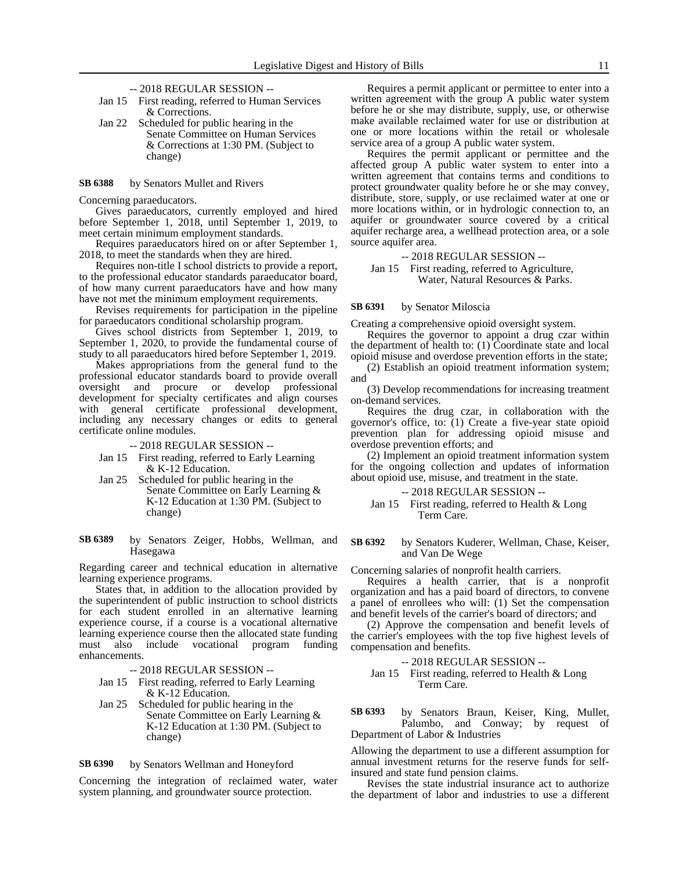- -- 2018 REGULAR SESSION --
- Jan 15 First reading, referred to Human Services & Corrections.
- Jan 22 Scheduled for public hearing in the Senate Committee on Human Services & Corrections at 1:30 PM. (Subject to change)

#### by Senators Mullet and Rivers **SB 6388**

Concerning paraeducators.

Gives paraeducators, currently employed and hired before September 1, 2018, until September 1, 2019, to meet certain minimum employment standards.

Requires paraeducators hired on or after September 1, 2018, to meet the standards when they are hired.

Requires non-title I school districts to provide a report, to the professional educator standards paraeducator board, of how many current paraeducators have and how many have not met the minimum employment requirements.

Revises requirements for participation in the pipeline for paraeducators conditional scholarship program.

Gives school districts from September 1, 2019, to September 1, 2020, to provide the fundamental course of study to all paraeducators hired before September 1, 2019.

Makes appropriations from the general fund to the professional educator standards board to provide overall oversight and procure or develop professional development for specialty certificates and align courses with general certificate professional development, including any necessary changes or edits to general certificate online modules.

-- 2018 REGULAR SESSION --

- Jan 15 First reading, referred to Early Learning & K-12 Education.
- Jan 25 Scheduled for public hearing in the Senate Committee on Early Learning & K-12 Education at 1:30 PM. (Subject to change)

### by Senators Zeiger, Hobbs, Wellman, and Hasegawa **SB 6389**

Regarding career and technical education in alternative learning experience programs.

States that, in addition to the allocation provided by the superintendent of public instruction to school districts for each student enrolled in an alternative learning experience course, if a course is a vocational alternative learning experience course then the allocated state funding must also include vocational program funding enhancements.

-- 2018 REGULAR SESSION --

- Jan 15 First reading, referred to Early Learning & K-12 Education.
- Jan 25 Scheduled for public hearing in the Senate Committee on Early Learning & K-12 Education at 1:30 PM. (Subject to change)

#### by Senators Wellman and Honeyford **SB 6390**

Concerning the integration of reclaimed water, water system planning, and groundwater source protection.

Requires a permit applicant or permittee to enter into a written agreement with the group A public water system before he or she may distribute, supply, use, or otherwise make available reclaimed water for use or distribution at one or more locations within the retail or wholesale service area of a group A public water system.

Requires the permit applicant or permittee and the affected group A public water system to enter into a written agreement that contains terms and conditions to protect groundwater quality before he or she may convey, distribute, store, supply, or use reclaimed water at one or more locations within, or in hydrologic connection to, an aquifer or groundwater source covered by a critical aquifer recharge area, a wellhead protection area, or a sole source aquifer area.

-- 2018 REGULAR SESSION --

Jan 15 First reading, referred to Agriculture, Water, Natural Resources & Parks.

#### by Senator Miloscia **SB 6391**

Creating a comprehensive opioid oversight system.

Requires the governor to appoint a drug czar within the department of health to: (1) Coordinate state and local opioid misuse and overdose prevention efforts in the state;

(2) Establish an opioid treatment information system; and

(3) Develop recommendations for increasing treatment on-demand services.

Requires the drug czar, in collaboration with the governor's office, to: (1) Create a five-year state opioid prevention plan for addressing opioid misuse and overdose prevention efforts; and

(2) Implement an opioid treatment information system for the ongoing collection and updates of information about opioid use, misuse, and treatment in the state.

### -- 2018 REGULAR SESSION --

Jan 15 First reading, referred to Health & Long Term Care.

by Senators Kuderer, Wellman, Chase, Keiser, and Van De Wege **SB 6392**

Concerning salaries of nonprofit health carriers.

Requires a health carrier, that is a nonprofit organization and has a paid board of directors, to convene a panel of enrollees who will: (1) Set the compensation and benefit levels of the carrier's board of directors; and

(2) Approve the compensation and benefit levels of the carrier's employees with the top five highest levels of compensation and benefits.

### -- 2018 REGULAR SESSION --

Jan 15 First reading, referred to Health & Long Term Care.

by Senators Braun, Keiser, King, Mullet, Palumbo, and Conway; by request of Department of Labor & Industries **SB 6393**

Allowing the department to use a different assumption for annual investment returns for the reserve funds for selfinsured and state fund pension claims.

Revises the state industrial insurance act to authorize the department of labor and industries to use a different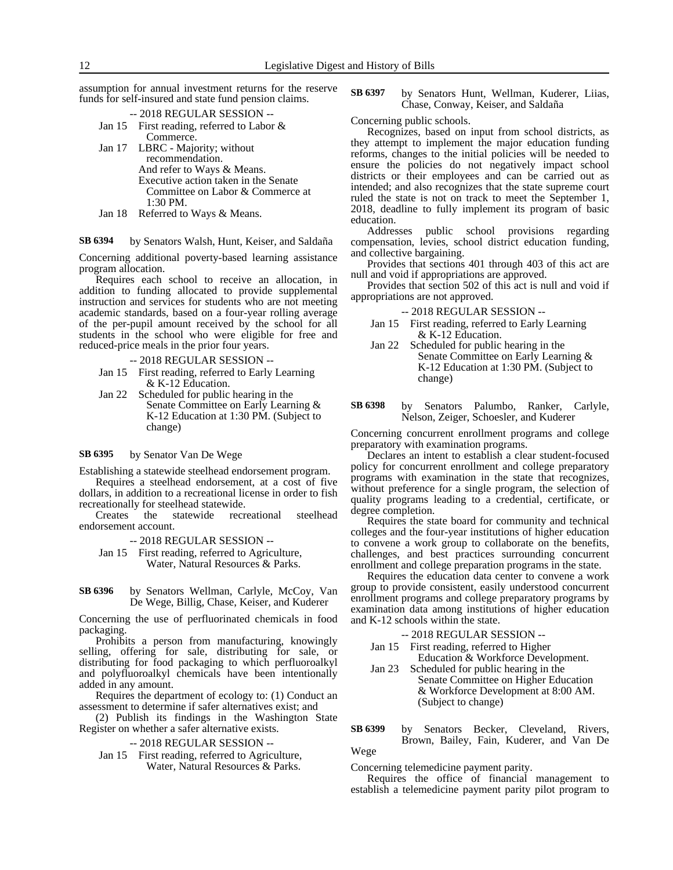assumption for annual investment returns for the reserve funds for self-insured and state fund pension claims.

|                       | --2018 REGULAR SESSION --                                                    |
|-----------------------|------------------------------------------------------------------------------|
|                       | Jan 15 First reading, referred to Labor $\&$                                 |
|                       | Commerce.                                                                    |
|                       | Jan 17 LBRC - Majority; without                                              |
|                       | recommendation.                                                              |
|                       | And refer to Ways & Means.                                                   |
|                       | Executive action taken in the Senate                                         |
|                       | Committee on Labor & Commerce at                                             |
|                       | $1:30$ PM.                                                                   |
| $\sum_{i=1}^{\infty}$ | $Dof_{\alpha\mu\alpha}$ to $W_{\alpha\mu\alpha}$ , $\ell_1 M_{\alpha\alpha}$ |

Jan 18 Referred to Ways & Means.

by Senators Walsh, Hunt, Keiser, and Saldaña **SB 6394**

Concerning additional poverty-based learning assistance program allocation.

Requires each school to receive an allocation, in addition to funding allocated to provide supplemental instruction and services for students who are not meeting academic standards, based on a four-year rolling average of the per-pupil amount received by the school for all students in the school who were eligible for free and reduced-price meals in the prior four years.

-- 2018 REGULAR SESSION --

- Jan 15 First reading, referred to Early Learning & K-12 Education.
- Jan 22 Scheduled for public hearing in the Senate Committee on Early Learning & K-12 Education at 1:30 PM. (Subject to change)

by Senator Van De Wege **SB 6395**

Establishing a statewide steelhead endorsement program.

Requires a steelhead endorsement, at a cost of five dollars, in addition to a recreational license in order to fish recreationally for steelhead statewide.

Creates the statewide recreational steelhead endorsement account.

-- 2018 REGULAR SESSION --

Jan 15 First reading, referred to Agriculture, Water, Natural Resources & Parks.

by Senators Wellman, Carlyle, McCoy, Van De Wege, Billig, Chase, Keiser, and Kuderer **SB 6396**

Concerning the use of perfluorinated chemicals in food packaging.

Prohibits a person from manufacturing, knowingly selling, offering for sale, distributing for sale, or distributing for food packaging to which perfluoroalkyl and polyfluoroalkyl chemicals have been intentionally added in any amount.

Requires the department of ecology to: (1) Conduct an assessment to determine if safer alternatives exist; and

(2) Publish its findings in the Washington State Register on whether a safer alternative exists.

-- 2018 REGULAR SESSION --

Jan 15 First reading, referred to Agriculture, Water, Natural Resources & Parks.

by Senators Hunt, Wellman, Kuderer, Liias, Chase, Conway, Keiser, and Saldaña **SB 6397**

Concerning public schools.

Recognizes, based on input from school districts, as they attempt to implement the major education funding reforms, changes to the initial policies will be needed to ensure the policies do not negatively impact school districts or their employees and can be carried out as intended; and also recognizes that the state supreme court ruled the state is not on track to meet the September 1, 2018, deadline to fully implement its program of basic education.

Addresses public school provisions regarding compensation, levies, school district education funding, and collective bargaining.

Provides that sections 401 through 403 of this act are null and void if appropriations are approved.

Provides that section 502 of this act is null and void if appropriations are not approved.

-- 2018 REGULAR SESSION --

- Jan 15 First reading, referred to Early Learning & K-12 Education.
- Jan 22 Scheduled for public hearing in the Senate Committee on Early Learning & K-12 Education at 1:30 PM. (Subject to change)

by Senators Palumbo, Ranker, Carlyle, Nelson, Zeiger, Schoesler, and Kuderer **SB 6398**

Concerning concurrent enrollment programs and college preparatory with examination programs.

Declares an intent to establish a clear student-focused policy for concurrent enrollment and college preparatory programs with examination in the state that recognizes, without preference for a single program, the selection of quality programs leading to a credential, certificate, or degree completion.

Requires the state board for community and technical colleges and the four-year institutions of higher education to convene a work group to collaborate on the benefits, challenges, and best practices surrounding concurrent enrollment and college preparation programs in the state.

Requires the education data center to convene a work group to provide consistent, easily understood concurrent enrollment programs and college preparatory programs by examination data among institutions of higher education and K-12 schools within the state.

-- 2018 REGULAR SESSION --

- Jan 15 First reading, referred to Higher Education & Workforce Development.
- Jan 23 Scheduled for public hearing in the Senate Committee on Higher Education & Workforce Development at 8:00 AM. (Subject to change)

by Senators Becker, Cleveland, Rivers, Brown, Bailey, Fain, Kuderer, and Van De Wege **SB 6399**

Concerning telemedicine payment parity.

Requires the office of financial management to establish a telemedicine payment parity pilot program to